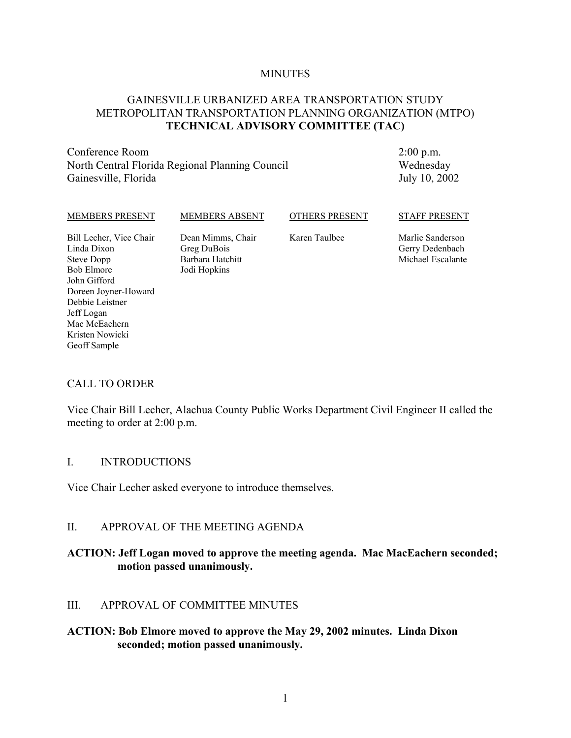#### **MINUTES**

## GAINESVILLE URBANIZED AREA TRANSPORTATION STUDY METROPOLITAN TRANSPORTATION PLANNING ORGANIZATION (MTPO) **TECHNICAL ADVISORY COMMITTEE (TAC)**

Conference Room North Central Florida Regional Planning Council Gainesville, Florida

2:00 p.m. Wednesday July 10, 2002

| <b>MEMBERS PRESENT</b>                                                                    | <b>MEMBERS ABSENT</b>                                                | <b>OTHERS PRESENT</b> | <b>STAFF PRESENT</b>                                     |
|-------------------------------------------------------------------------------------------|----------------------------------------------------------------------|-----------------------|----------------------------------------------------------|
| Bill Lecher, Vice Chair<br>Linda Dixon<br>Steve Dopp<br><b>Bob Elmore</b><br>John Gifford | Dean Mimms, Chair<br>Greg DuBois<br>Barbara Hatchitt<br>Jodi Hopkins | Karen Taulbee         | Marlie Sanderson<br>Gerry Dedenbach<br>Michael Escalante |
| Doreen Joyner-Howard<br>Debbie Leistner                                                   |                                                                      |                       |                                                          |

### CALL TO ORDER

Jeff Logan Mac McEachern Kristen Nowicki Geoff Sample

Vice Chair Bill Lecher, Alachua County Public Works Department Civil Engineer II called the meeting to order at 2:00 p.m.

## I. INTRODUCTIONS

Vice Chair Lecher asked everyone to introduce themselves.

#### II. APPROVAL OF THE MEETING AGENDA

### **ACTION: Jeff Logan moved to approve the meeting agenda. Mac MacEachern seconded; motion passed unanimously.**

#### III. APPROVAL OF COMMITTEE MINUTES

### **ACTION: Bob Elmore moved to approve the May 29, 2002 minutes. Linda Dixon seconded; motion passed unanimously.**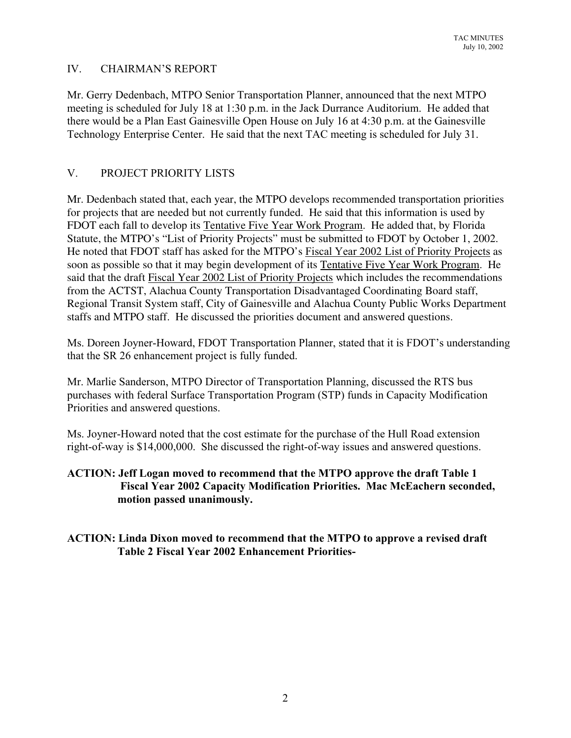# IV. CHAIRMAN'S REPORT

Mr. Gerry Dedenbach, MTPO Senior Transportation Planner, announced that the next MTPO meeting is scheduled for July 18 at 1:30 p.m. in the Jack Durrance Auditorium. He added that there would be a Plan East Gainesville Open House on July 16 at 4:30 p.m. at the Gainesville Technology Enterprise Center. He said that the next TAC meeting is scheduled for July 31.

# V. PROJECT PRIORITY LISTS

Mr. Dedenbach stated that, each year, the MTPO develops recommended transportation priorities for projects that are needed but not currently funded. He said that this information is used by FDOT each fall to develop its Tentative Five Year Work Program. He added that, by Florida Statute, the MTPO's "List of Priority Projects" must be submitted to FDOT by October 1, 2002. He noted that FDOT staff has asked for the MTPO's Fiscal Year 2002 List of Priority Projects as soon as possible so that it may begin development of its Tentative Five Year Work Program. He said that the draft Fiscal Year 2002 List of Priority Projects which includes the recommendations from the ACTST, Alachua County Transportation Disadvantaged Coordinating Board staff, Regional Transit System staff, City of Gainesville and Alachua County Public Works Department staffs and MTPO staff. He discussed the priorities document and answered questions.

Ms. Doreen Joyner-Howard, FDOT Transportation Planner, stated that it is FDOT's understanding that the SR 26 enhancement project is fully funded.

Mr. Marlie Sanderson, MTPO Director of Transportation Planning, discussed the RTS bus purchases with federal Surface Transportation Program (STP) funds in Capacity Modification Priorities and answered questions.

Ms. Joyner-Howard noted that the cost estimate for the purchase of the Hull Road extension right-of-way is \$14,000,000. She discussed the right-of-way issues and answered questions.

# **ACTION: Jeff Logan moved to recommend that the MTPO approve the draft Table 1 Fiscal Year 2002 Capacity Modification Priorities. Mac McEachern seconded, motion passed unanimously.**

# **ACTION: Linda Dixon moved to recommend that the MTPO to approve a revised draft Table 2 Fiscal Year 2002 Enhancement Priorities-**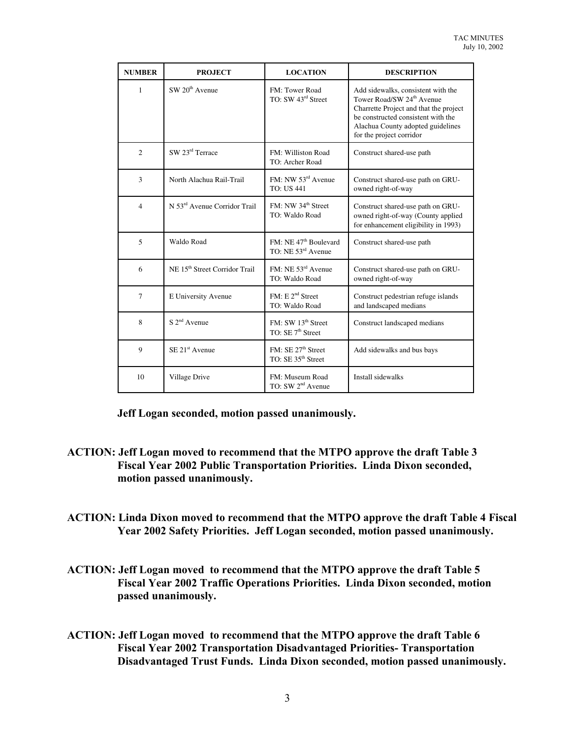| <b>NUMBER</b>  | <b>PROJECT</b>                            | <b>LOCATION</b>                                                  | <b>DESCRIPTION</b>                                                                                                                                                                                                           |
|----------------|-------------------------------------------|------------------------------------------------------------------|------------------------------------------------------------------------------------------------------------------------------------------------------------------------------------------------------------------------------|
| $\mathbf{1}$   | $SW 20th$ Avenue                          | FM: Tower Road<br>TO: SW 43 <sup>rd</sup> Street                 | Add sidewalks, consistent with the<br>Tower Road/SW 24 <sup>th</sup> Avenue<br>Charrette Project and that the project<br>be constructed consistent with the<br>Alachua County adopted guidelines<br>for the project corridor |
| $\overline{c}$ | $SW 23rd$ Terrace                         | FM: Williston Road<br>TO: Archer Road                            | Construct shared-use path                                                                                                                                                                                                    |
| 3              | North Alachua Rail-Trail                  | FM: NW 53rd Avenue<br><b>TO: US 441</b>                          | Construct shared-use path on GRU-<br>owned right-of-way                                                                                                                                                                      |
| $\overline{4}$ | N 53 <sup>rd</sup> Avenue Corridor Trail  | FM: NW 34 <sup>th</sup> Street<br>TO: Waldo Road                 | Construct shared-use path on GRU-<br>owned right-of-way (County applied<br>for enhancement eligibility in 1993)                                                                                                              |
| 5              | Waldo Road                                | FM: NE 47 <sup>th</sup> Boulevard<br>TO: $NE 53rd$ Avenue        | Construct shared-use path                                                                                                                                                                                                    |
| 6              | NE 15 <sup>th</sup> Street Corridor Trail | FM: NE 53 <sup>rd</sup> Avenue<br>TO: Waldo Road                 | Construct shared-use path on GRU-<br>owned right-of-way                                                                                                                                                                      |
| $\overline{7}$ | E University Avenue                       | FM: E 2 <sup>nd</sup> Street<br>TO: Waldo Road                   | Construct pedestrian refuge islands<br>and landscaped medians                                                                                                                                                                |
| $\mathbf{8}$   | $S$ $2nd$ Avenue                          | FM: SW 13 <sup>th</sup> Street<br>TO: SE 7 <sup>th</sup> Street  | Construct landscaped medians                                                                                                                                                                                                 |
| 9              | $SE$ 21 <sup>st</sup> Avenue              | FM: SE 27 <sup>th</sup> Street<br>TO: SE 35 <sup>th</sup> Street | Add sidewalks and bus bays                                                                                                                                                                                                   |
| 10             | Village Drive                             | FM: Museum Road<br>TO: $SW 2nd$ Avenue                           | Install sidewalks                                                                                                                                                                                                            |

**Jeff Logan seconded, motion passed unanimously.**

- **ACTION: Jeff Logan moved to recommend that the MTPO approve the draft Table 3 Fiscal Year 2002 Public Transportation Priorities. Linda Dixon seconded, motion passed unanimously.**
- **ACTION: Linda Dixon moved to recommend that the MTPO approve the draft Table 4 Fiscal Year 2002 Safety Priorities. Jeff Logan seconded, motion passed unanimously.**
- **ACTION: Jeff Logan moved to recommend that the MTPO approve the draft Table 5 Fiscal Year 2002 Traffic Operations Priorities. Linda Dixon seconded, motion passed unanimously.**
- **ACTION: Jeff Logan moved to recommend that the MTPO approve the draft Table 6 Fiscal Year 2002 Transportation Disadvantaged Priorities- Transportation Disadvantaged Trust Funds. Linda Dixon seconded, motion passed unanimously.**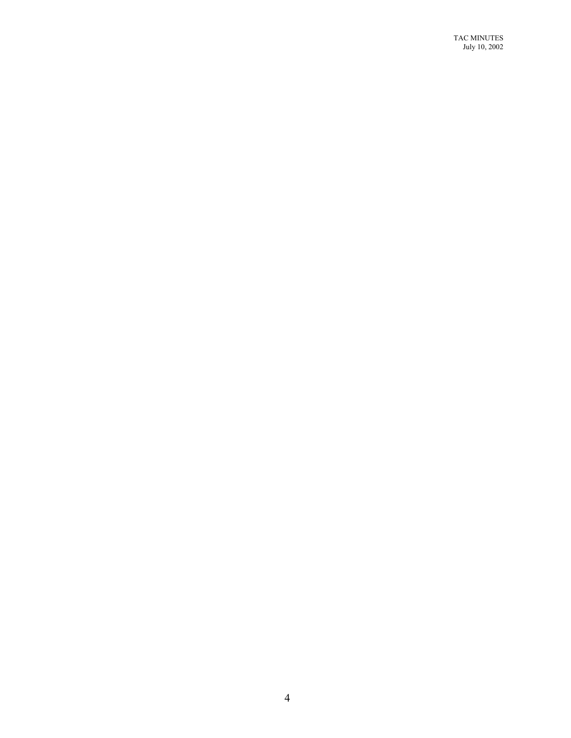TAC MINUTES July 10, 2002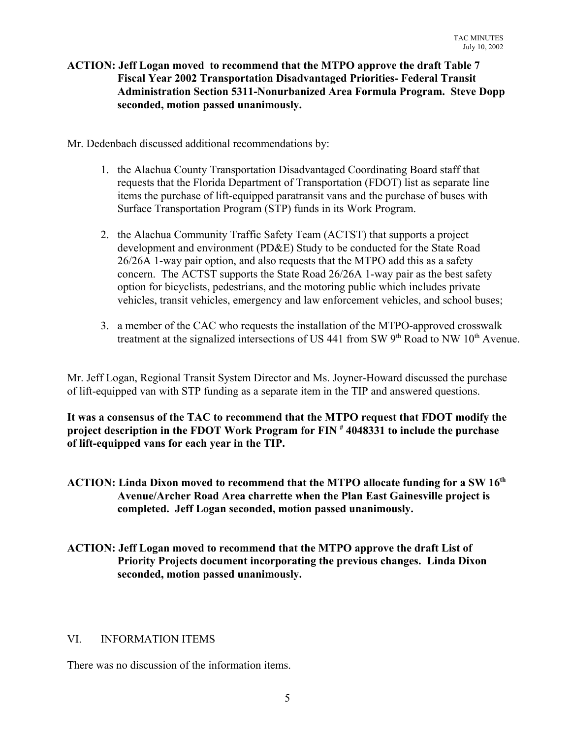# **ACTION: Jeff Logan moved to recommend that the MTPO approve the draft Table 7 Fiscal Year 2002 Transportation Disadvantaged Priorities- Federal Transit Administration Section 5311-Nonurbanized Area Formula Program. Steve Dopp seconded, motion passed unanimously.**

Mr. Dedenbach discussed additional recommendations by:

- 1. the Alachua County Transportation Disadvantaged Coordinating Board staff that requests that the Florida Department of Transportation (FDOT) list as separate line items the purchase of lift-equipped paratransit vans and the purchase of buses with Surface Transportation Program (STP) funds in its Work Program.
- 2. the Alachua Community Traffic Safety Team (ACTST) that supports a project development and environment (PD&E) Study to be conducted for the State Road 26/26A 1-way pair option, and also requests that the MTPO add this as a safety concern. The ACTST supports the State Road 26/26A 1-way pair as the best safety option for bicyclists, pedestrians, and the motoring public which includes private vehicles, transit vehicles, emergency and law enforcement vehicles, and school buses;
- 3. a member of the CAC who requests the installation of the MTPO-approved crosswalk treatment at the signalized intersections of US 441 from SW  $9<sup>th</sup>$  Road to NW  $10<sup>th</sup>$  Avenue.

Mr. Jeff Logan, Regional Transit System Director and Ms. Joyner-Howard discussed the purchase of lift-equipped van with STP funding as a separate item in the TIP and answered questions.

**It was a consensus of the TAC to recommend that the MTPO request that FDOT modify the project description in the FDOT Work Program for FIN # 4048331 to include the purchase of lift-equipped vans for each year in the TIP.**

- ACTION: Linda Dixon moved to recommend that the MTPO allocate funding for a SW 16<sup>th</sup> **Avenue/Archer Road Area charrette when the Plan East Gainesville project is completed. Jeff Logan seconded, motion passed unanimously.**
- **ACTION: Jeff Logan moved to recommend that the MTPO approve the draft List of Priority Projects document incorporating the previous changes. Linda Dixon seconded, motion passed unanimously.**

# VI. INFORMATION ITEMS

There was no discussion of the information items.